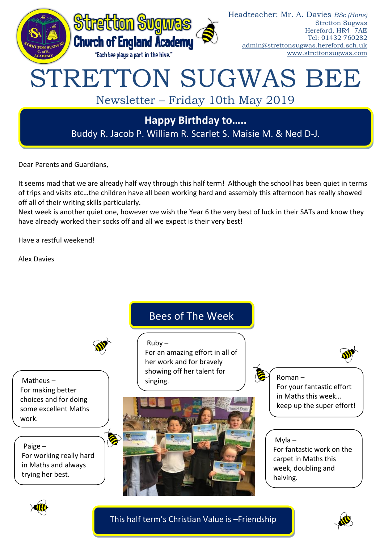

Dear Parents and Guardians,

It seems mad that we are already half way through this half term! Although the school has been quiet in terms of trips and visits etc…the children have all been working hard and assembly this afternoon has really showed off all of their writing skills particularly.

Next week is another quiet one, however we wish the Year 6 the very best of luck in their SATs and know they have already worked their socks off and all we expect is their very best!

Have a restful weekend!

Alex Davies